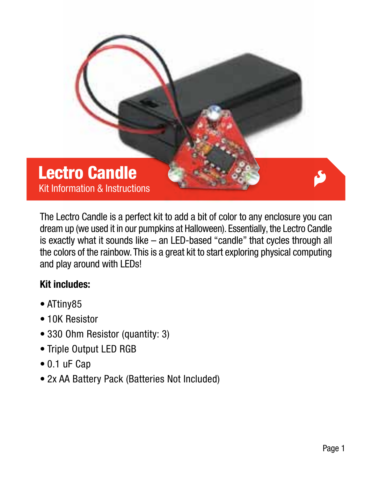

The Lectro Candle is a perfect kit to add a bit of color to any enclosure you can dream up (we used it in our pumpkins at Halloween). Essentially, the Lectro Candle is exactly what it sounds like – an LED-based "candle" that cycles through all the colors of the rainbow. This is a great kit to start exploring physical computing and play around with LEDs!

### Kit includes:

- ATtiny85
- 10K Resistor
- 330 Ohm Resistor (quantity: 3)
- Triple Output LED RGB
- 0.1 uF Cap
- 2x AA Battery Pack (Batteries Not Included)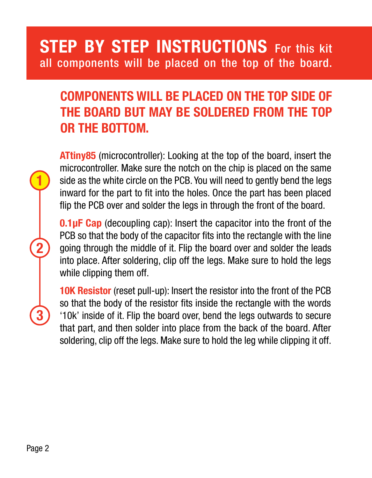## STEP BY STEP INSTRUCTIONS For this kit all components will be placed on the top of the board.

## Components will be placed on the top side of the board but may be soldered from the top or the bottom.

ATtiny85 (microcontroller): Looking at the top of the board, insert the microcontroller. Make sure the notch on the chip is placed on the same side as the white circle on the PCB. You will need to gently bend the legs inward for the part to fit into the holes. Once the part has been placed flip the PCB over and solder the legs in through the front of the board.

**0.1uF Cap** (decoupling cap): Insert the capacitor into the front of the PCB so that the body of the capacitor fits into the rectangle with the line going through the middle of it. Flip the board over and solder the leads into place. After soldering, clip off the legs. Make sure to hold the legs while clipping them off.

10K Resistor (reset pull-up): Insert the resistor into the front of the PCB so that the body of the resistor fits inside the rectangle with the words '10k' inside of it. Flip the board over, bend the legs outwards to secure that part, and then solder into place from the back of the board. After soldering, clip off the legs. Make sure to hold the leg while clipping it off.

2

1

3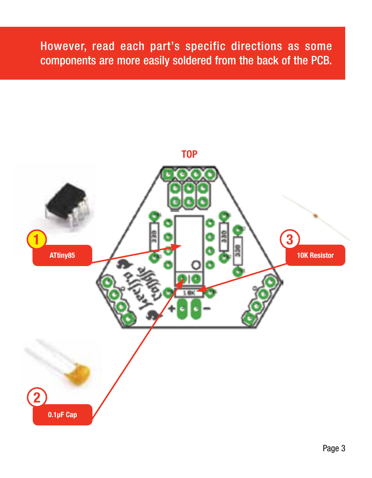## However, read each part's specific directions as some components are more easily soldered from the back of the PCB.

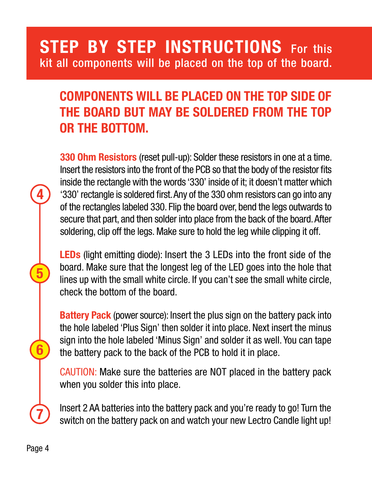# STEP BY STEP INSTRUCTIONS For this kit all components will be placed on the top of the board.

## COMPONENTS WILL BE PLACED ON THE TOP SIDE OF the board but may be soldered from the top or the bottom.

330 Ohm Resistors (reset pull-up): Solder these resistors in one at a time. Insert the resistors into the front of the PCB so that the body of the resistor fits inside the rectangle with the words '330' inside of it; it doesn't matter which '330' rectangle is soldered first. Any of the 330 ohm resistors can go into any of the rectangles labeled 330. Flip the board over, bend the legs outwards to secure that part, and then solder into place from the back of the board. After soldering, clip off the legs. Make sure to hold the leg while clipping it off.

LEDs (light emitting diode): Insert the 3 LEDs into the front side of the board. Make sure that the longest leg of the LED goes into the hole that lines up with the small white circle. If you can't see the small white circle, check the bottom of the board.

**Battery Pack** (power source): Insert the plus sign on the battery pack into the hole labeled 'Plus Sign' then solder it into place. Next insert the minus sign into the hole labeled 'Minus Sign' and solder it as well. You can tape the battery pack to the back of the PCB to hold it in place.

CAUTION: Make sure the batteries are NOT placed in the battery pack when you solder this into place.

Insert 2 AA batteries into the battery pack and you're ready to go! Turn the switch on the battery pack on and watch your new Lectro Candle light up!

4

5

6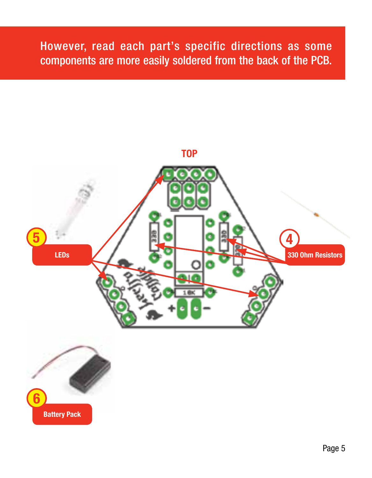## However, read each part's specific directions as some components are more easily soldered from the back of the PCB.

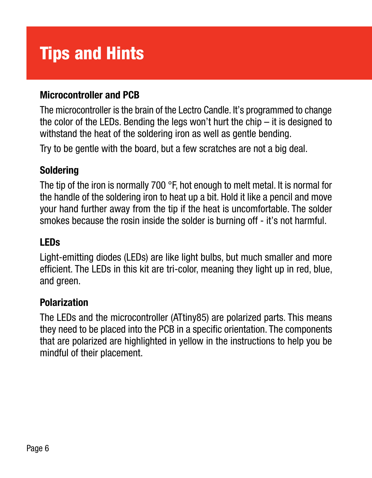# Tips and Hints

### Microcontroller and PCB

The microcontroller is the brain of the Lectro Candle. It's programmed to change the color of the LEDs. Bending the legs won't hurt the chip – it is designed to withstand the heat of the soldering iron as well as gentle bending.

Try to be gentle with the board, but a few scratches are not a big deal.

### Soldering

The tip of the iron is normally 700 °F, hot enough to melt metal. It is normal for the handle of the soldering iron to heat up a bit. Hold it like a pencil and move your hand further away from the tip if the heat is uncomfortable. The solder smokes because the rosin inside the solder is burning off - it's not harmful.

### LEDs

Light-emitting diodes (LEDs) are like light bulbs, but much smaller and more efficient. The LEDs in this kit are tri-color, meaning they light up in red, blue, and green.

### Polarization

The LEDs and the microcontroller (ATtiny85) are polarized parts. This means they need to be placed into the PCB in a specific orientation. The components that are polarized are highlighted in yellow in the instructions to help you be mindful of their placement.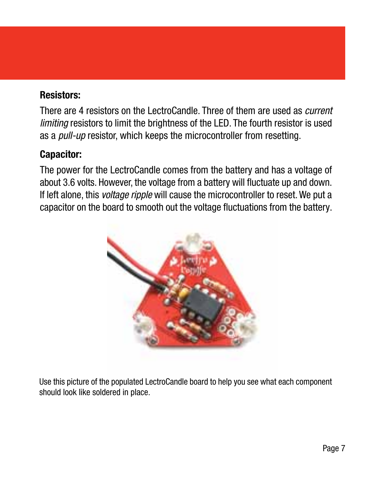### Resistors:

There are 4 resistors on the LectroCandle. Three of them are used as *current* limiting resistors to limit the brightness of the LED. The fourth resistor is used as a *pull-up* resistor, which keeps the microcontroller from resetting.

#### Capacitor:

The power for the LectroCandle comes from the battery and has a voltage of about 3.6 volts. However, the voltage from a battery will fluctuate up and down. If left alone, this voltage ripple will cause the microcontroller to reset. We put a capacitor on the board to smooth out the voltage fluctuations from the battery.



Use this picture of the populated LectroCandle board to help you see what each component should look like soldered in place.